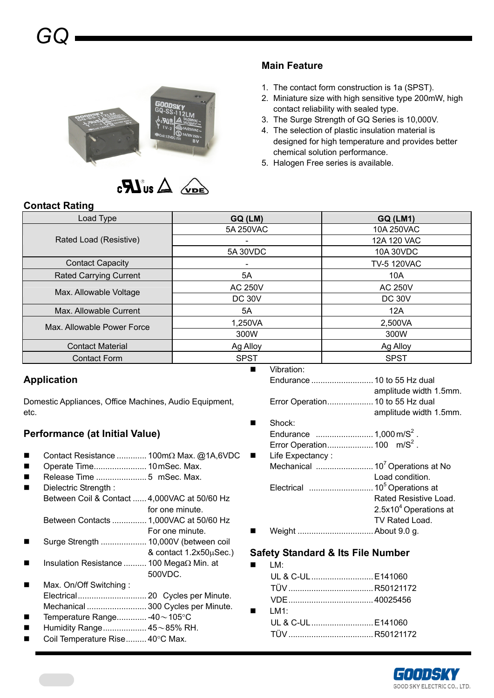



## **Main Feature**

- 1. The contact form construction is 1a (SPST).
- 2. Miniature size with high sensitive type 200mW, high contact reliability with sealed type.
- 3. The Surge Strength of GQ Series is 10,000V.
- 4. The selection of plastic insulation material is designed for high temperature and provides better chemical solution performance.
- 5. Halogen Free series is available.

## **Contact Rating**

| Load Type                     | GQ (LM)                  | <b>GQ (LM1)</b>    |
|-------------------------------|--------------------------|--------------------|
|                               | 5A 250VAC                | 10A 250VAC         |
| Rated Load (Resistive)        | $\overline{\phantom{0}}$ | 12A 120 VAC        |
|                               | 5A 30VDC                 | 10A 30VDC          |
| <b>Contact Capacity</b>       | $\overline{\phantom{0}}$ | <b>TV-5 120VAC</b> |
| <b>Rated Carrying Current</b> | 5A                       | 10A                |
| Max. Allowable Voltage        | <b>AC 250V</b>           | <b>AC 250V</b>     |
|                               | <b>DC 30V</b>            | <b>DC 30V</b>      |
| Max. Allowable Current        | 5A                       | 12A                |
| Max. Allowable Power Force    | 1,250VA                  | 2,500VA            |
|                               | 300W                     | 300W               |
| <b>Contact Material</b>       | Ag Alloy                 | Ag Alloy           |
| <b>Contact Form</b>           | <b>SPST</b>              | <b>SPST</b>        |

# **Application**

Domestic Appliances, Office Machines, Audio Equipment, etc.

# **Performance (at Initial Value)**

- Contact Resistance ............. 100mΩ Max. @1A,6VDC
- Operate Time....................... 10 mSec. Max.
- Release Time ...................... 5 mSec. Max.
- Dielectric Strength : Between Coil & Contact ...... 4,000VAC at 50/60 Hz for one minute.
- Between Contacts ............... 1,000VAC at 50/60 Hz For one minute.
- Surge Strength .................... 10,000V (between coil
- & contact 1.2x50μSec.)
- Insulation Resistance .......... 100 MegaΩ Min. at 500VDC.
- Max. On/Off Switching : Electrical.............................. 20 Cycles per Minute. Mechanical .......................... 300 Cycles per Minute.
- Temperature Range............. -40~105°C
- Humidity Range................... 45~85% RH.
- Coil Temperature Rise......... 40°C Max.

Endurance ...........................10 to 55 Hz dual amplitude width 1.5mm. Error Operation....................10 to 55 Hz dual amplitude width 1.5mm.

- Shock: Endurance .........................1,000 m/S2 . Error Operation....................100 m/S2 .
- Life Expectancy : Mechanical .........................107 Operations at No Load condition. Electrical ............................105 Operations at Rated Resistive Load. 2.5x10<sup>4</sup> Operations at TV Rated Load. Weight .................................About 9.0 g.

## **Safety Standard & Its File Number**

 $LM:$ UL & C-UL...........................E141060 TÜV.....................................R50121172 VDE.....................................40025456 LM1: UL & C-UL...........................E141060 TÜV.....................................R50121172